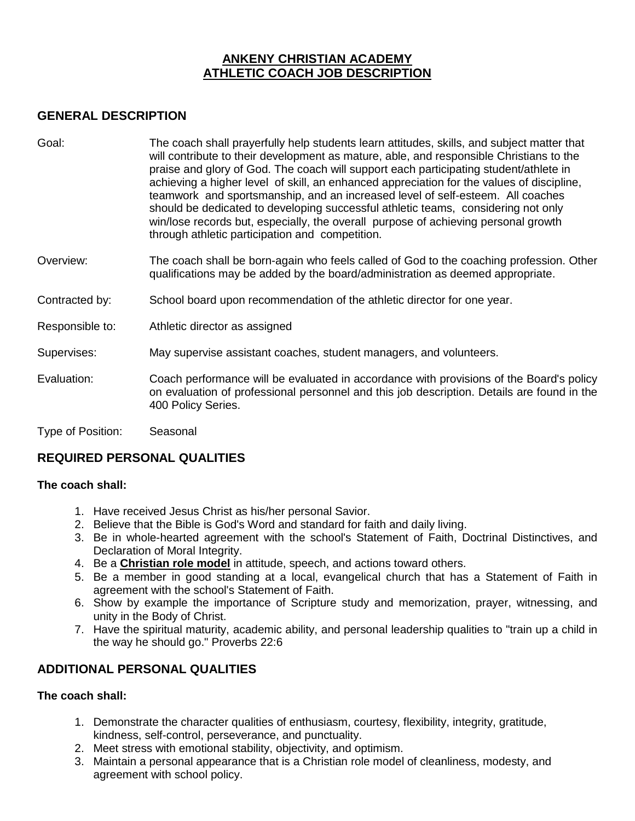# **ANKENY CHRISTIAN ACADEMY ATHLETIC COACH JOB DESCRIPTION**

## **GENERAL DESCRIPTION**

- Goal: The coach shall prayerfully help students learn attitudes, skills, and subject matter that will contribute to their development as mature, able, and responsible Christians to the praise and glory of God. The coach will support each participating student/athlete in achieving a higher level of skill, an enhanced appreciation for the values of discipline, teamwork and sportsmanship, and an increased level of self-esteem. All coaches should be dedicated to developing successful athletic teams, considering not only win/lose records but, especially, the overall purpose of achieving personal growth through athletic participation and competition.
- Overview: The coach shall be born-again who feels called of God to the coaching profession. Other qualifications may be added by the board/administration as deemed appropriate.
- Contracted by: School board upon recommendation of the athletic director for one year.
- Responsible to: Athletic director as assigned
- Supervises: May supervise assistant coaches, student managers, and volunteers.
- Evaluation: Coach performance will be evaluated in accordance with provisions of the Board's policy on evaluation of professional personnel and this job description. Details are found in the 400 Policy Series.
- Type of Position: Seasonal

# **REQUIRED PERSONAL QUALITIES**

#### **The coach shall:**

- 1. Have received Jesus Christ as his/her personal Savior.
- 2. Believe that the Bible is God's Word and standard for faith and daily living.
- 3. Be in whole-hearted agreement with the school's Statement of Faith, Doctrinal Distinctives, and Declaration of Moral Integrity.
- 4. Be a **Christian role model** in attitude, speech, and actions toward others.
- 5. Be a member in good standing at a local, evangelical church that has a Statement of Faith in agreement with the school's Statement of Faith.
- 6. Show by example the importance of Scripture study and memorization, prayer, witnessing, and unity in the Body of Christ.
- 7. Have the spiritual maturity, academic ability, and personal leadership qualities to "train up a child in the way he should go." Proverbs 22:6

# **ADDITIONAL PERSONAL QUALITIES**

#### **The coach shall:**

- 1. Demonstrate the character qualities of enthusiasm, courtesy, flexibility, integrity, gratitude, kindness, self-control, perseverance, and punctuality.
- 2. Meet stress with emotional stability, objectivity, and optimism.
- 3. Maintain a personal appearance that is a Christian role model of cleanliness, modesty, and agreement with school policy.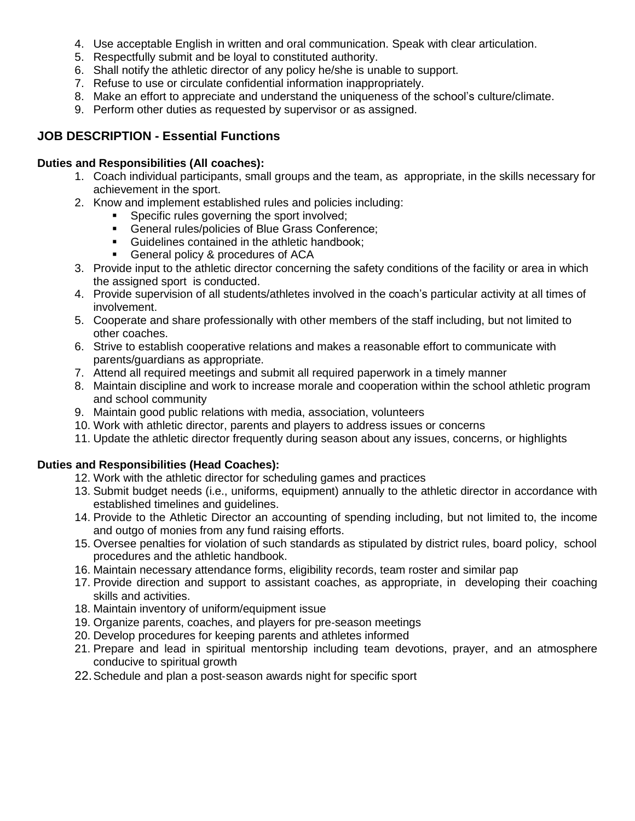- 4. Use acceptable English in written and oral communication. Speak with clear articulation.
- 5. Respectfully submit and be loyal to constituted authority.
- 6. Shall notify the athletic director of any policy he/she is unable to support.
- 7. Refuse to use or circulate confidential information inappropriately.
- 8. Make an effort to appreciate and understand the uniqueness of the school's culture/climate.
- 9. Perform other duties as requested by supervisor or as assigned.

## **JOB DESCRIPTION - Essential Functions**

#### **Duties and Responsibilities (All coaches):**

- 1. Coach individual participants, small groups and the team, as appropriate, in the skills necessary for achievement in the sport.
- 2. Know and implement established rules and policies including:
	- **Specific rules governing the sport involved;**
	- General rules/policies of Blue Grass Conference;
	- **Guidelines contained in the athletic handbook:**
	- **General policy & procedures of ACA**
- 3. Provide input to the athletic director concerning the safety conditions of the facility or area in which the assigned sport is conducted.
- 4. Provide supervision of all students/athletes involved in the coach's particular activity at all times of involvement.
- 5. Cooperate and share professionally with other members of the staff including, but not limited to other coaches.
- 6. Strive to establish cooperative relations and makes a reasonable effort to communicate with parents/guardians as appropriate.
- 7. Attend all required meetings and submit all required paperwork in a timely manner
- 8. Maintain discipline and work to increase morale and cooperation within the school athletic program and school community
- 9. Maintain good public relations with media, association, volunteers
- 10. Work with athletic director, parents and players to address issues or concerns
- 11. Update the athletic director frequently during season about any issues, concerns, or highlights

### **Duties and Responsibilities (Head Coaches):**

- 12. Work with the athletic director for scheduling games and practices
- 13. Submit budget needs (i.e., uniforms, equipment) annually to the athletic director in accordance with established timelines and guidelines.
- 14. Provide to the Athletic Director an accounting of spending including, but not limited to, the income and outgo of monies from any fund raising efforts.
- 15. Oversee penalties for violation of such standards as stipulated by district rules, board policy, school procedures and the athletic handbook.
- 16. Maintain necessary attendance forms, eligibility records, team roster and similar pap
- 17. Provide direction and support to assistant coaches, as appropriate, in developing their coaching skills and activities.
- 18. Maintain inventory of uniform/equipment issue
- 19. Organize parents, coaches, and players for pre‐season meetings
- 20. Develop procedures for keeping parents and athletes informed
- 21. Prepare and lead in spiritual mentorship including team devotions, prayer, and an atmosphere conducive to spiritual growth
- 22.Schedule and plan a post‐season awards night for specific sport